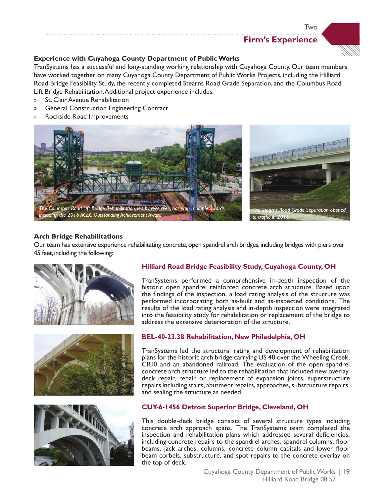# **Firm's Experience**

Two



# **Experience with Cuyahoga County Department of Public Works**

TranSystems has a successful and long-standing working relationship with Cuyahoga County. Our team members have worked together on many Cuyahoga County Department of Public Works Projects, including the Hilliard Road Bridge Feasibility Study, the recently completed Stearns Road Grade Separation, and the Columbus Road Lift Bridge Rehabilitation. Additional project experience includes:

- » St. Clair Avenue Rehabilitation
- » General Construction Engineering Contract
- » Rockside Road Improvements



# **Arch Bridge Rehabilitations**

Our team has extensive experience rehabilitating concrete, open spandrel arch bridges, including bridges with piers over 45 feet, including the following:







# **Hilliard Road Bridge Feasibility Study, Cuyahoga County, OH**

TranSystems performed a comprehensive in-depth inspection of the historic open spandrel reinforced concrete arch structure. Based upon the fndings of the inspection, a load rating analysis of the structure was performed incorporating both as-built and as-inspected conditions. The results of the load rating analysis and in-depth inspection were integrated into the feasibility study for rehabilitation or replacement of the bridge to address the extensive deterioration of the structure.

# **BEL-40-23.38 Rehabilitation, New Philadelphia, OH**

TranSystems led the structural rating and development of rehabilitation plans for the historic arch bridge carrying US 40 over the Wheeling Creek, CR10 and an abandoned railroad. The evaluation of the open spandrel concrete arch structure led to the rehabilitation that included new overlay, deck repair, repair or replacement of expansion joints, superstructure repairs including stairs, abutment repairs, approaches, substructure repairs, and sealing the structure as needed.

# **CUY-6-1456 Detroit Superior Bridge, Cleveland, OH**

This double-deck bridge consists of several structure types including concrete arch approach spans. The TranSystems team completed the inspection and rehabilitation plans which addressed several defciencies, including concrete repairs to the spandrel arches, spandrel columns, foor beams, jack arches, columns, concrete column capitals and lower floor beam corbels, substructure, and spot repairs to the concrete overlay on the top of deck.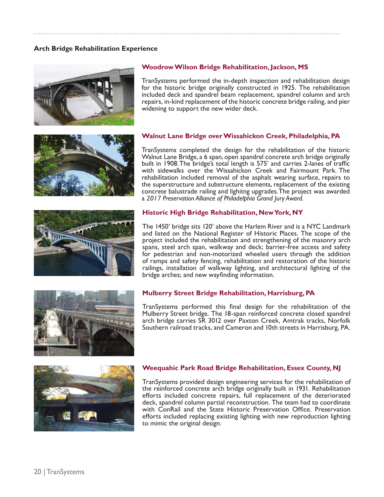# **Arch Bridge Rehabilitation Experience**



# **Woodrow Wilson Bridge Rehabilitation, Jackson, MS**

TranSystems performed the in-depth inspection and rehabilitation design for the historic bridge originally constructed in 1925. The rehabilitation included deck and spandrel beam replacement, spandrel column and arch repairs, in-kind replacement of the historic concrete bridge railing, and pier widening to support the new wider deck.









# **Mulberry Street Bridge Rehabilitation, Harrisburg, PA**

TranSystems performed this fnal design for the rehabilitation of the Mulberry Street bridge. The 18-span reinforced concrete closed spandrel arch bridge carries SR 3012 over Paxton Creek, Amtrak tracks, Norfolk Southern railroad tracks, and Cameron and 10th streets in Harrisburg, PA.



#### **Weequahic Park Road Bridge Rehabilitation, Essex County, NJ**

TranSystems provided design engineering services for the rehabilitation of the reinforced concrete arch bridge originally built in 1931. Rehabilitation efforts included concrete repairs, full replacement of the deteriorated deck, spandrel column partial reconstruction. The team had to coordinate with ConRail and the State Historic Preservation Office. Preservation efforts included replacing existing lighting with new reproduction lighting to mimic the original design.

**Walnut Lane Bridge over Wissahickon Creek, Philadelphia, PA**

TranSystems completed the design for the rehabilitation of the historic Walnut Lane Bridge, a 6 span, open spandrel concrete arch bridge originally built in 1908. The bridge's total length is 575' and carries 2-lanes of traffc with sidewalks over the Wissahickon Creek and Fairmount Park. The rehabilitation included removal of the asphalt wearing surface, repairs to the superstructure and substructure elements, replacement of the existing concrete balustrade railing and lighitng upgrades. The project was awarded a *2017 Preservation Alliance of Philadelphia Grand Jury Award.*

#### **Historic High Bridge Rehabilitation, New York, NY**

The 1450' bridge sits 120' above the Harlem River and is a NYC Landmark and listed on the National Register of Historic Places. The scope of the project included the rehabilitation and strengthening of the masonry arch spans, steel arch span, walkway and deck; barrier-free access and safety for pedestrian and non-motorized wheeled users through the addition of ramps and safety fencing, rehabilitation and restoration of the historic railings, installation of walkway lighting, and architectural lighting of the bridge arches; and new wayfnding information.